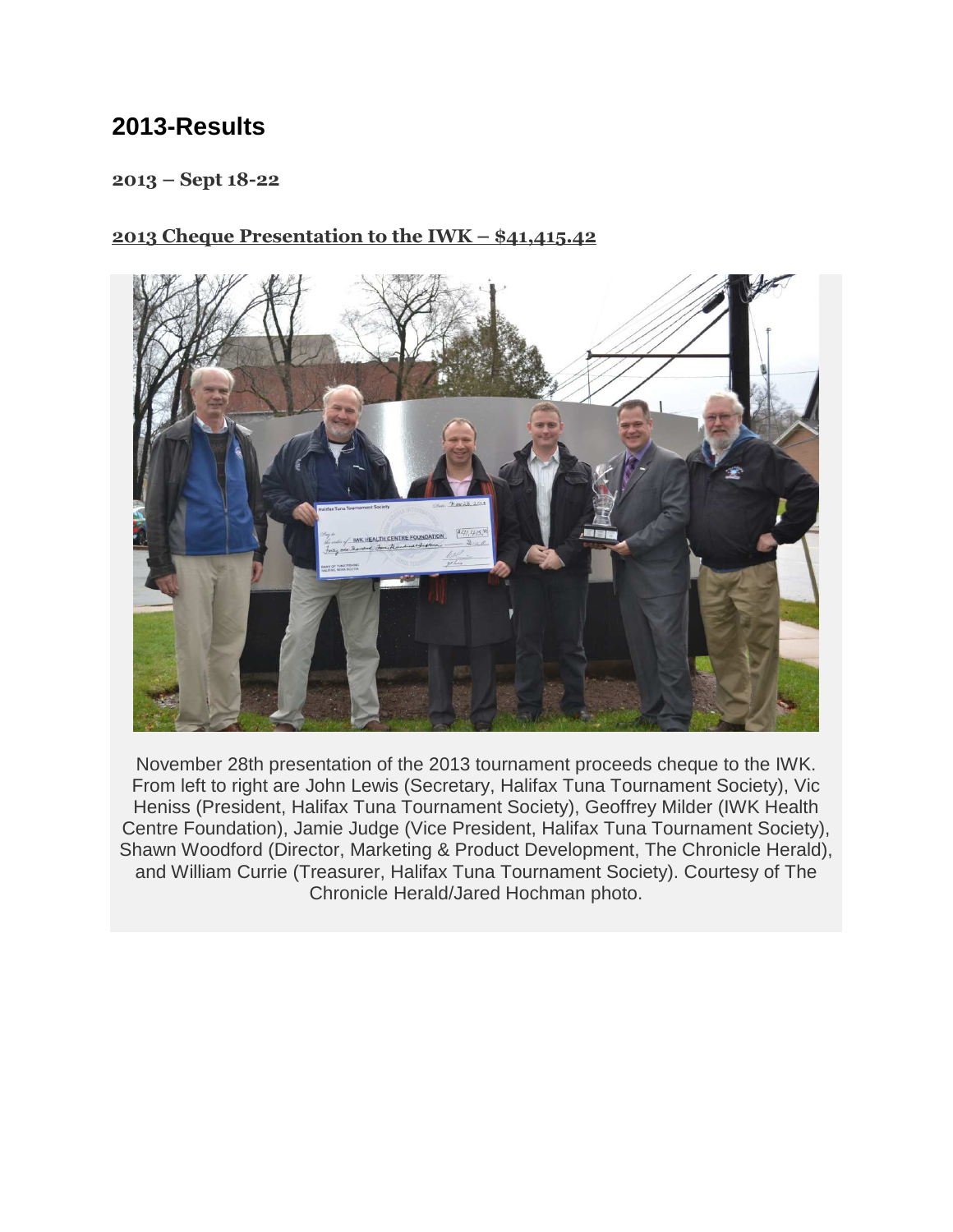## **2013-Results**

#### 2013 – Sept 18-22

#### 2013 Cheque Presentation to the IWK – \$41,415.42



November 28th presentation of the 2013 tournament proceeds cheque to the IWK. From left to right are John Lewis (Secretary, Halifax Tuna Tournament Society), Vic Heniss (President, Halifax Tuna Tournament Society), Geoffrey Milder (IWK Health Centre Foundation), Jamie Judge (Vice President, Halifax Tuna Tournament Society), Shawn Woodford (Director, Marketing & Product Development, The Chronicle Herald), and William Currie (Treasurer, Halifax Tuna Tournament Society). Courtesy of The Chronicle Herald/Jared Hochman photo.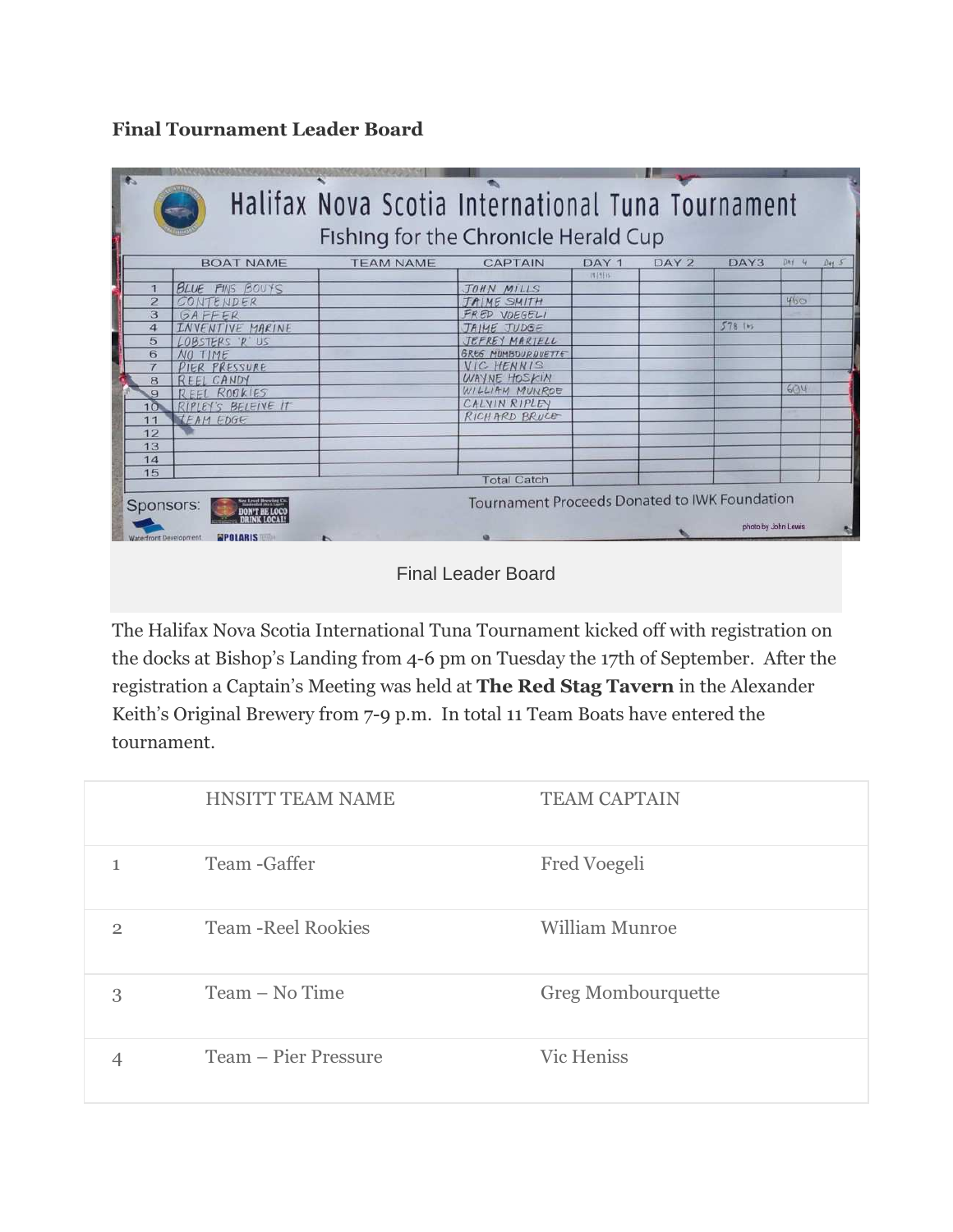## Final Tournament Leader Board

| DAY <sub>2</sub> | DAY3<br>5781m | $DAf$ 4<br>460 | $D_{47}$ 5                                                           |
|------------------|---------------|----------------|----------------------------------------------------------------------|
|                  |               |                |                                                                      |
|                  |               |                |                                                                      |
|                  |               |                |                                                                      |
|                  |               |                |                                                                      |
|                  |               |                |                                                                      |
|                  |               |                |                                                                      |
|                  |               |                |                                                                      |
|                  |               |                |                                                                      |
|                  |               |                |                                                                      |
|                  |               |                |                                                                      |
|                  |               | 604            |                                                                      |
|                  |               |                |                                                                      |
|                  |               |                |                                                                      |
|                  |               |                |                                                                      |
|                  |               |                |                                                                      |
|                  |               |                |                                                                      |
|                  |               |                |                                                                      |
|                  |               |                |                                                                      |
|                  |               |                | Tournament Proceeds Donated to IWK Foundation<br>photo by John Lewis |

Final Leader Board

The Halifax Nova Scotia International Tuna Tournament kicked off with registration on the docks at Bishop's Landing from 4-6 pm on Tuesday the 17th of September. After the registration a Captain's Meeting was held at The Red Stag Tavern in the Alexander Keith's Original Brewery from 7-9 p.m. In total 11 Team Boats have entered the tournament.

|                | <b>HNSITT TEAM NAME</b>    | <b>TEAM CAPTAIN</b> |
|----------------|----------------------------|---------------------|
|                | Team - Gaffer              | Fred Voegeli        |
| $\overline{2}$ | <b>Team - Reel Rookies</b> | William Munroe      |
| 3              | Team – No Time             | Greg Mombourquette  |
|                | Team – Pier Pressure       | <b>Vic Heniss</b>   |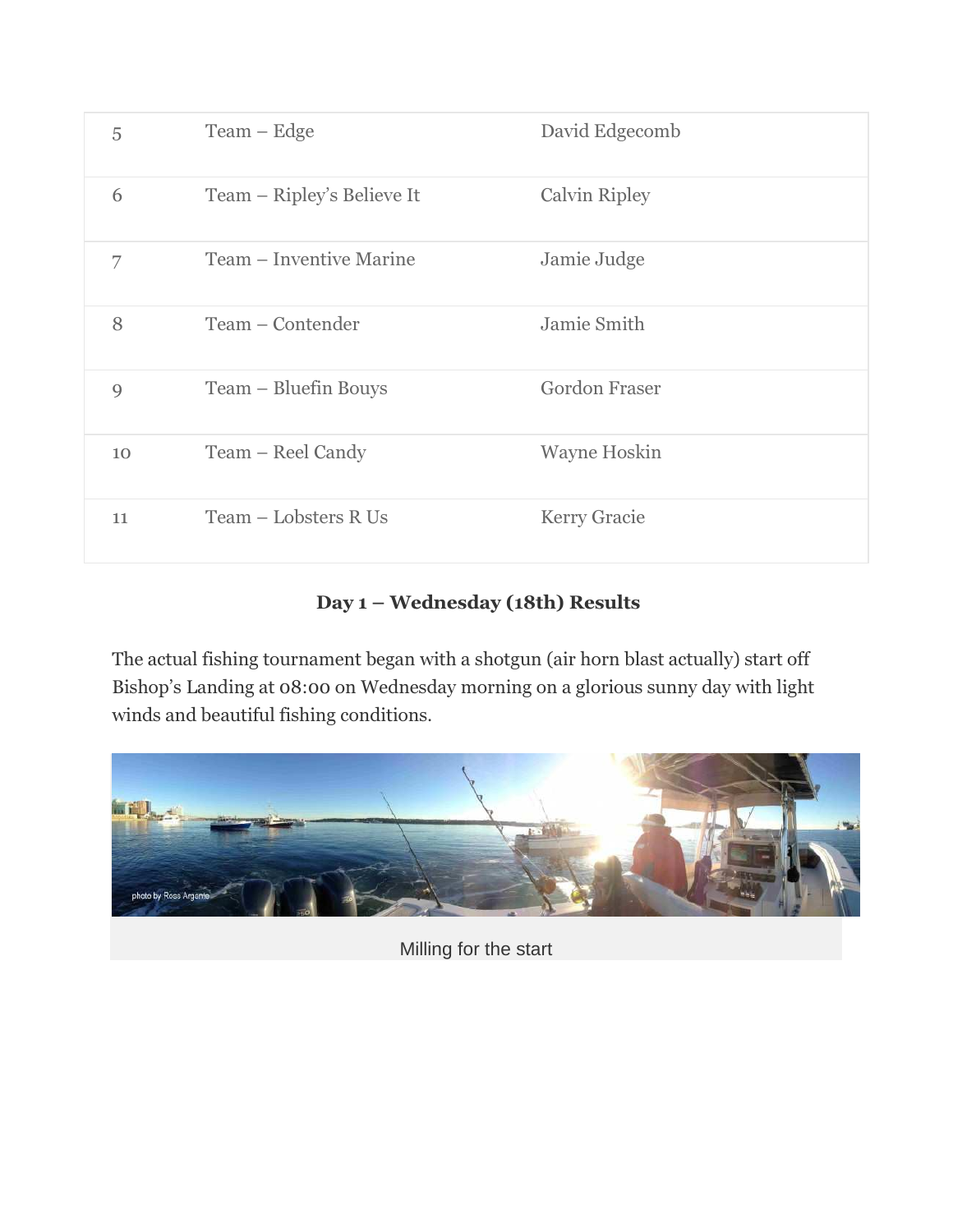| 5  | $Team - Edge$              | David Edgecomb       |
|----|----------------------------|----------------------|
| 6  | Team – Ripley's Believe It | Calvin Ripley        |
| 7  | Team – Inventive Marine    | Jamie Judge          |
| 8  | Team – Contender           | Jamie Smith          |
| 9  | Team – Bluefin Bouys       | <b>Gordon Fraser</b> |
| 10 | Team – Reel Candy          | <b>Wayne Hoskin</b>  |
| 11 | Team - Lobsters R Us       | <b>Kerry Gracie</b>  |

## Day 1 – Wednesday (18th) Results

The actual fishing tournament began with a shotgun (air horn blast actually) start off Bishop's Landing at 08:00 on Wednesday morning on a glorious sunny day with light winds and beautiful fishing conditions.



Milling for the start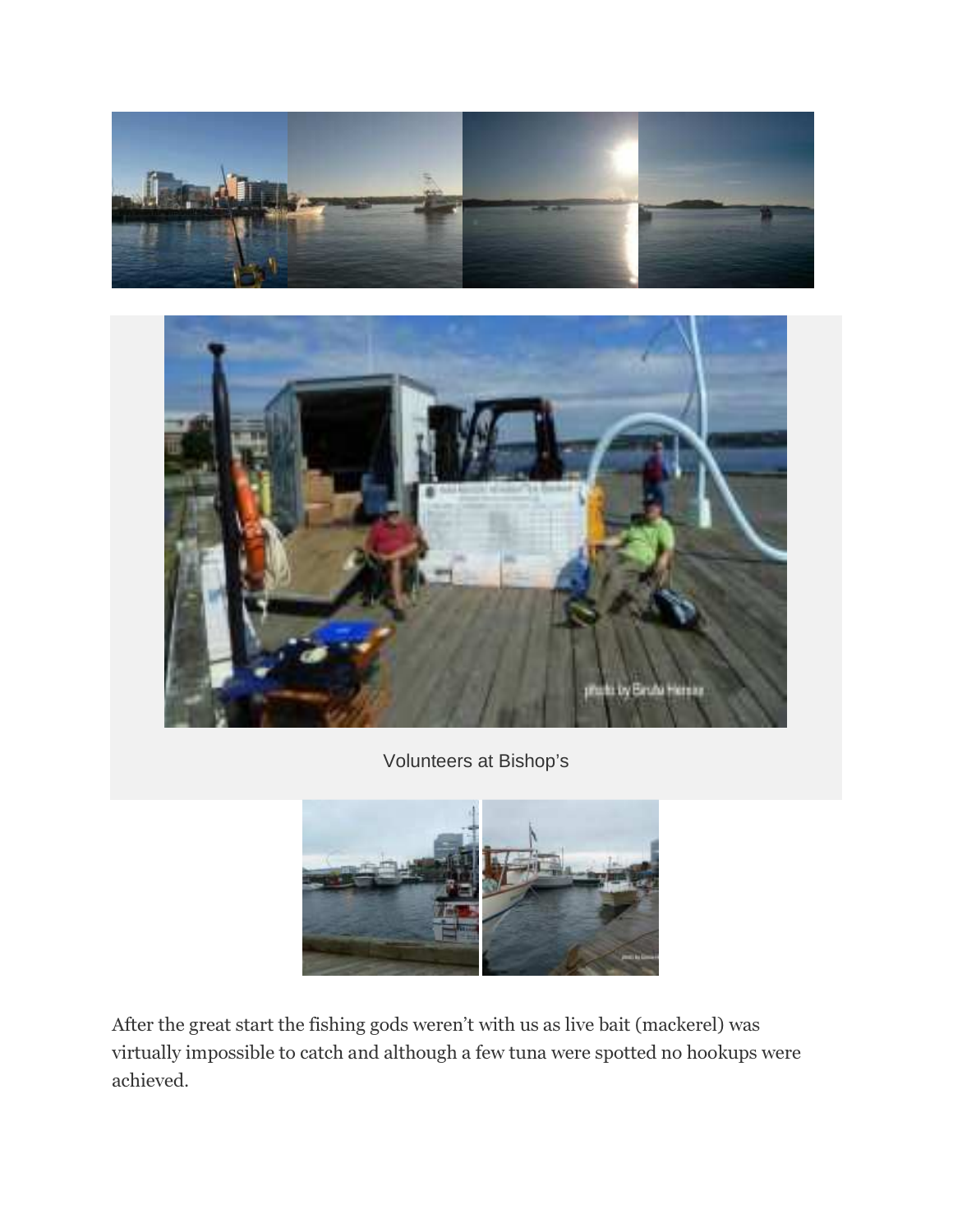



Volunteers at Bishop's



After the great start the fishing gods weren't with us as live bait (mackerel) was virtually impossible to catch and although a few tuna were spotted no hookups were achieved.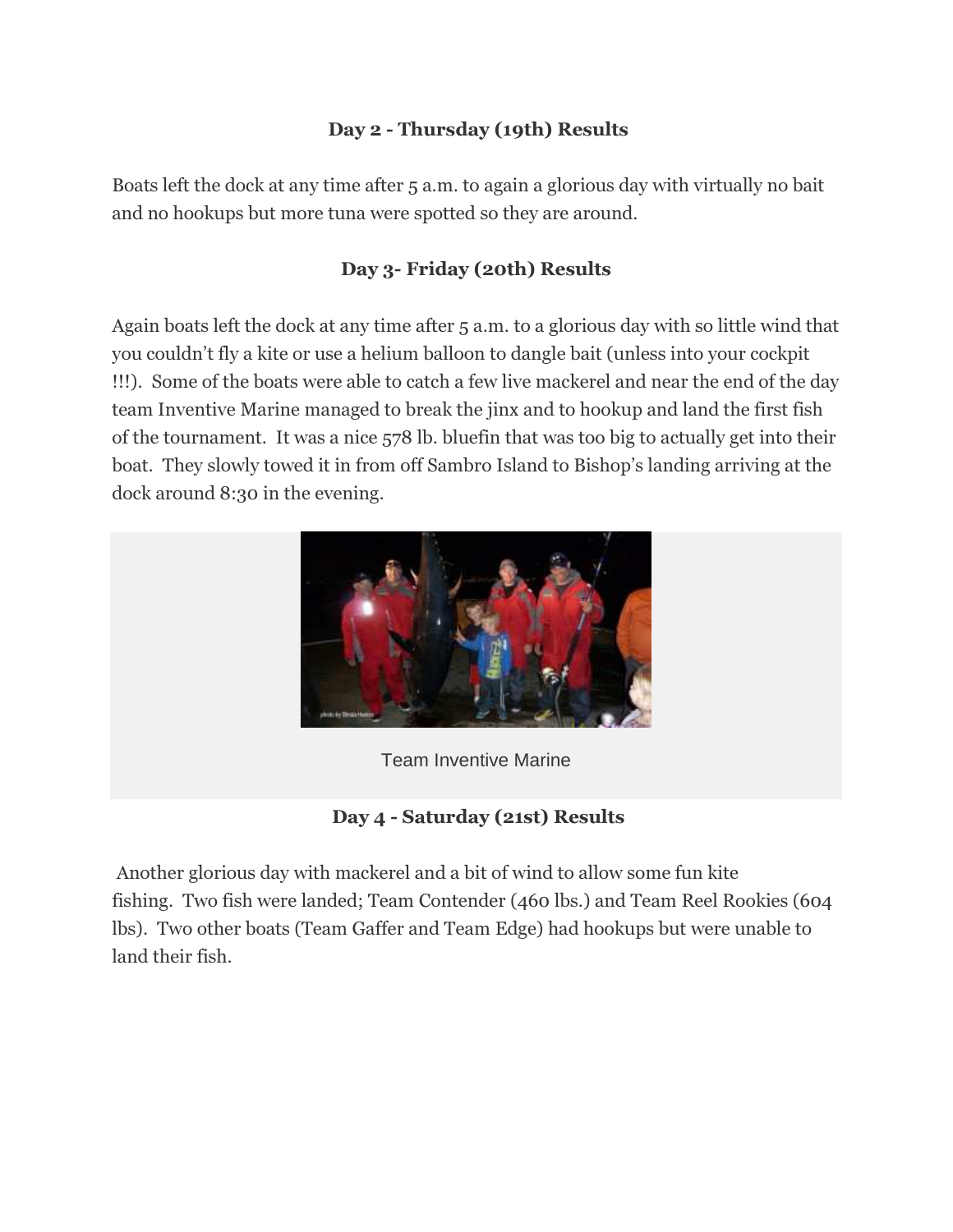### Day 2 - Thursday (19th) Results

Boats left the dock at any time after 5 a.m. to again a glorious day with virtually no bait and no hookups but more tuna were spotted so they are around.

#### Day 3- Friday (20th) Results

Again boats left the dock at any time after 5 a.m. to a glorious day with so little wind that you couldn't fly a kite or use a helium balloon to dangle bait (unless into your cockpit !!!). Some of the boats were able to catch a few live mackerel and near the end of the day team Inventive Marine managed to break the jinx and to hookup and land the first fish of the tournament. It was a nice 578 lb. bluefin that was too big to actually get into their boat. They slowly towed it in from off Sambro Island to Bishop's landing arriving at the dock around 8:30 in the evening.



Team Inventive Marine

Day 4 - Saturday (21st) Results

 Another glorious day with mackerel and a bit of wind to allow some fun kite fishing. Two fish were landed; Team Contender (460 lbs.) and Team Reel Rookies (604 lbs). Two other boats (Team Gaffer and Team Edge) had hookups but were unable to land their fish.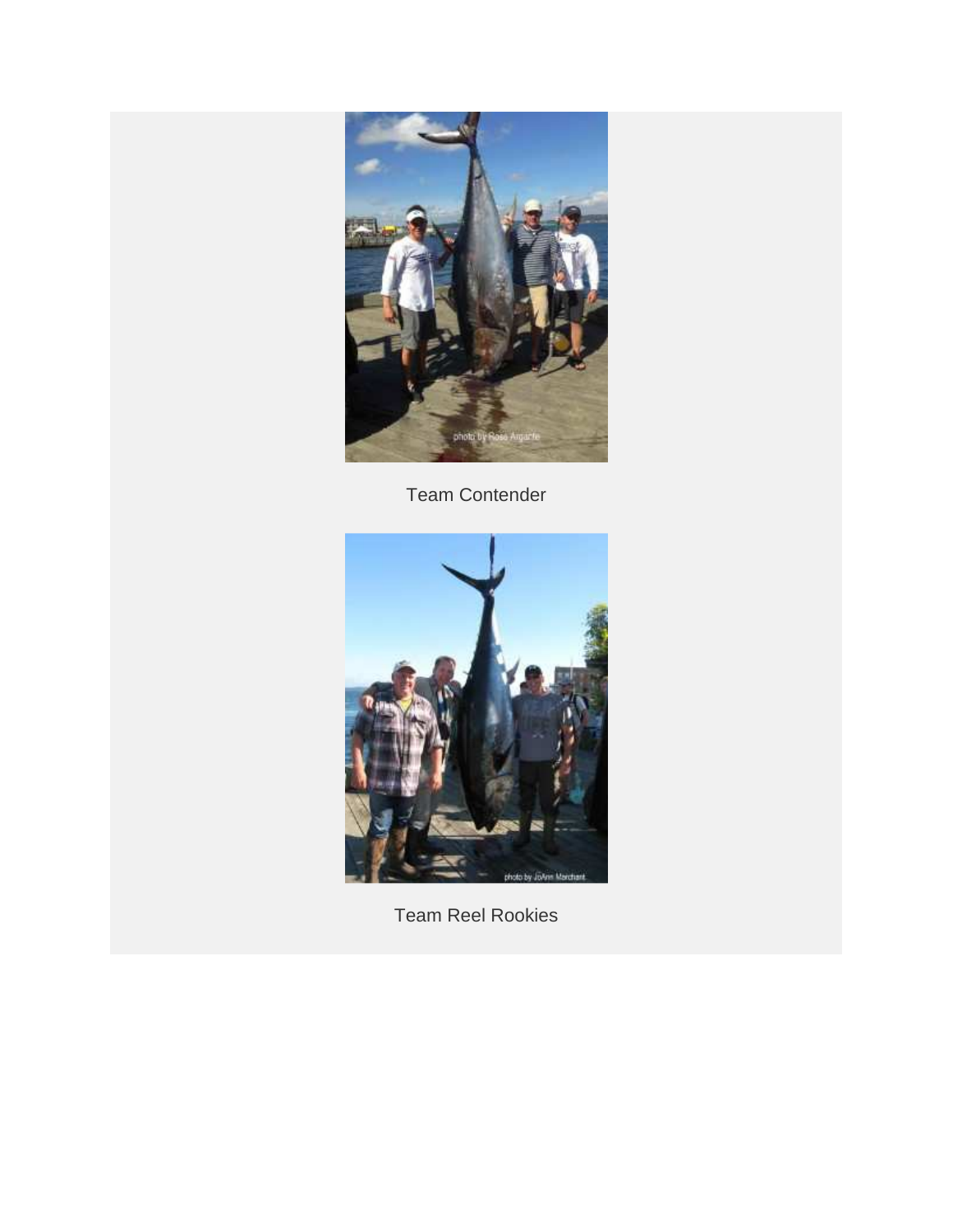

Team Contender



Team Reel Rookies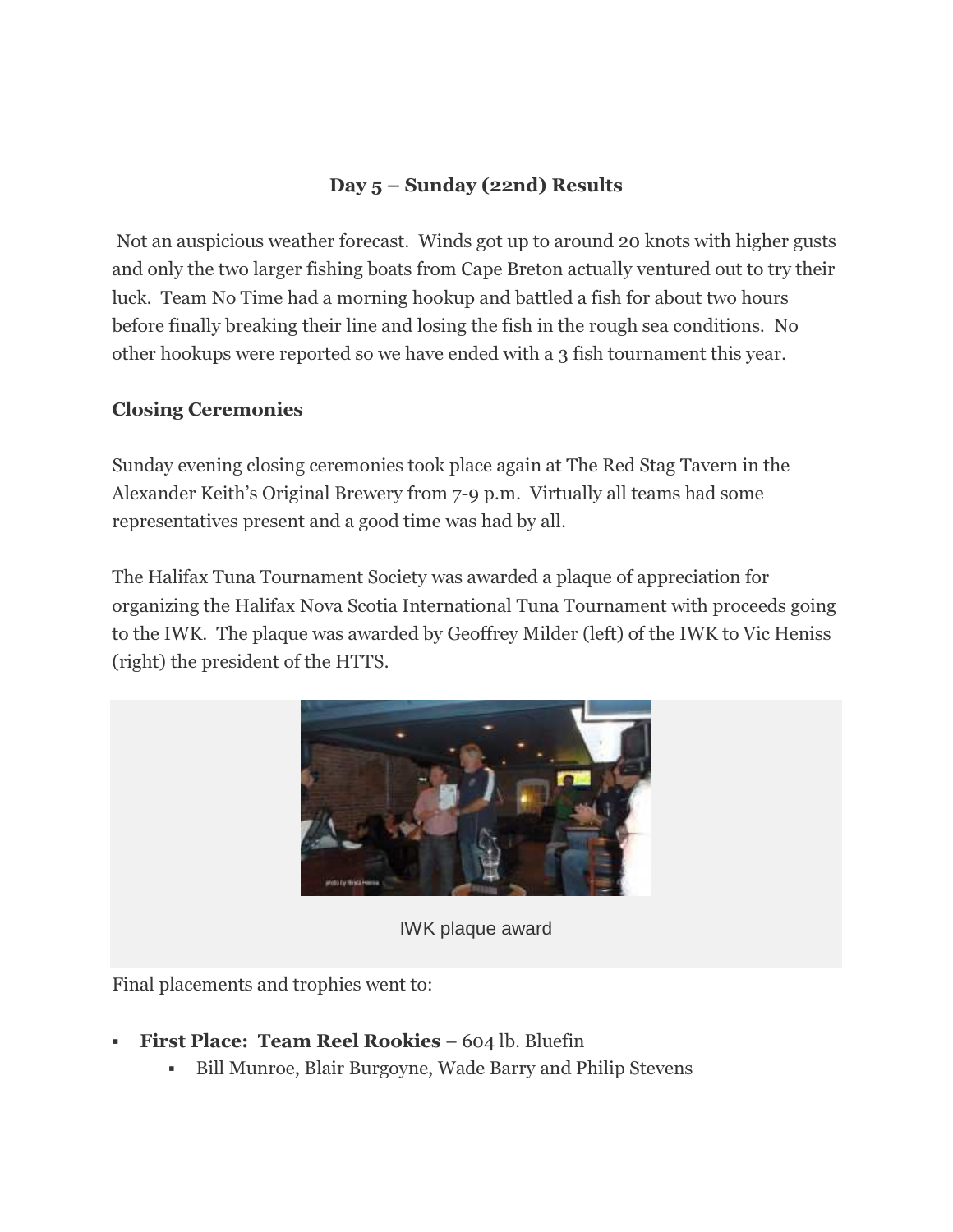## Day 5 – Sunday (22nd) Results

 Not an auspicious weather forecast. Winds got up to around 20 knots with higher gusts and only the two larger fishing boats from Cape Breton actually ventured out to try their luck. Team No Time had a morning hookup and battled a fish for about two hours before finally breaking their line and losing the fish in the rough sea conditions. No other hookups were reported so we have ended with a 3 fish tournament this year.

#### Closing Ceremonies

Sunday evening closing ceremonies took place again at The Red Stag Tavern in the Alexander Keith's Original Brewery from 7-9 p.m. Virtually all teams had some representatives present and a good time was had by all.

The Halifax Tuna Tournament Society was awarded a plaque of appreciation for organizing the Halifax Nova Scotia International Tuna Tournament with proceeds going to the IWK. The plaque was awarded by Geoffrey Milder (left) of the IWK to Vic Heniss (right) the president of the HTTS.



IWK plaque award

Final placements and trophies went to:

- First Place: Team Reel Rookies 604 lb. Bluefin
	- Bill Munroe, Blair Burgoyne, Wade Barry and Philip Stevens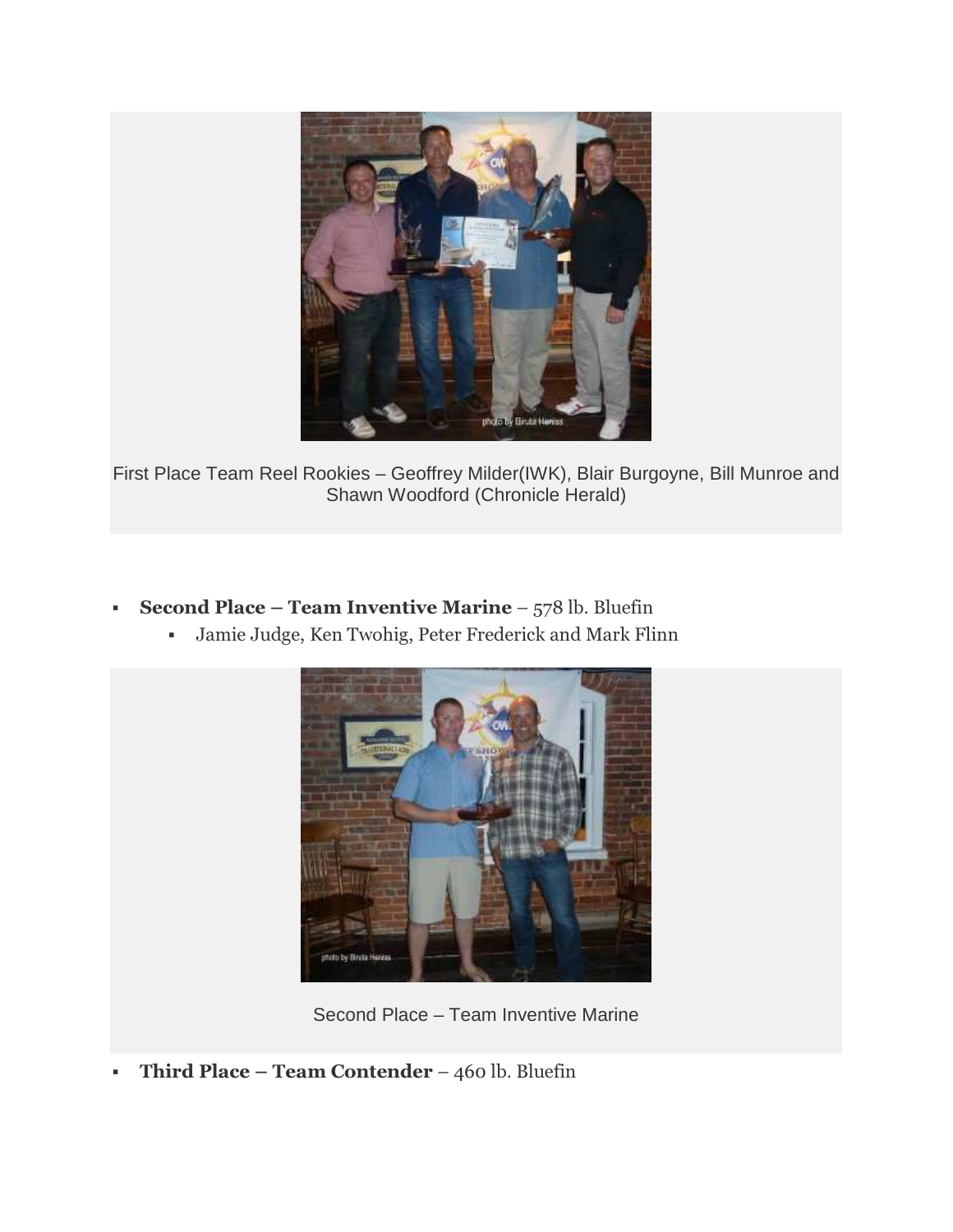

First Place Team Reel Rookies – Geoffrey Milder(IWK), Blair Burgoyne, Bill Munroe and Shawn Woodford (Chronicle Herald)

- Second Place Team Inventive Marine  $578$  lb. Bluefin
	- Jamie Judge, Ken Twohig, Peter Frederick and Mark Flinn



Second Place – Team Inventive Marine

Third Place – Team Contender – 460 lb. Bluefin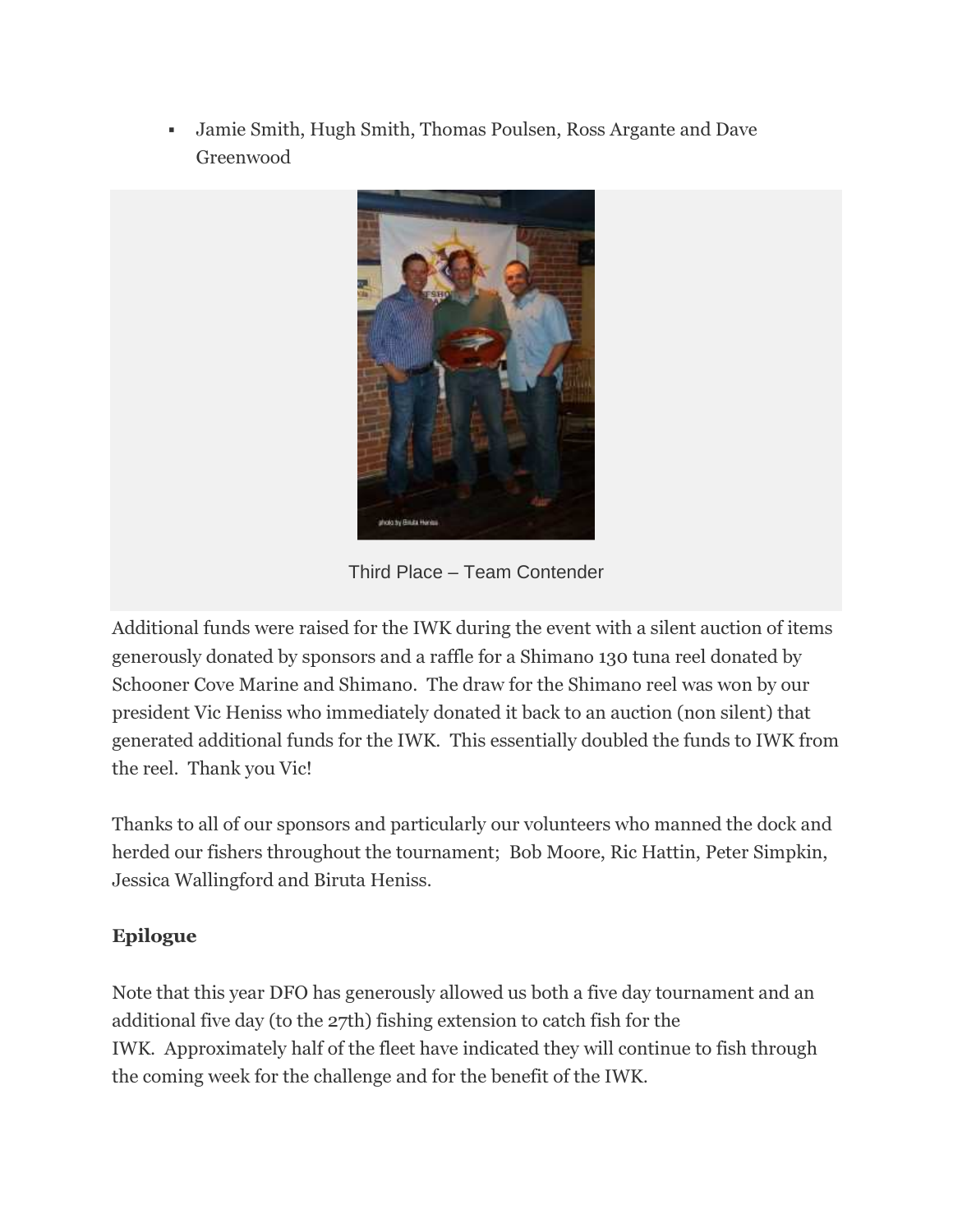Jamie Smith, Hugh Smith, Thomas Poulsen, Ross Argante and Dave Greenwood



Third Place – Team Contender

Additional funds were raised for the IWK during the event with a silent auction of items generously donated by sponsors and a raffle for a Shimano 130 tuna reel donated by Schooner Cove Marine and Shimano. The draw for the Shimano reel was won by our president Vic Heniss who immediately donated it back to an auction (non silent) that generated additional funds for the IWK. This essentially doubled the funds to IWK from the reel. Thank you Vic!

Thanks to all of our sponsors and particularly our volunteers who manned the dock and herded our fishers throughout the tournament; Bob Moore, Ric Hattin, Peter Simpkin, Jessica Wallingford and Biruta Heniss.

#### Epilogue

Note that this year DFO has generously allowed us both a five day tournament and an additional five day (to the 27th) fishing extension to catch fish for the IWK. Approximately half of the fleet have indicated they will continue to fish through the coming week for the challenge and for the benefit of the IWK.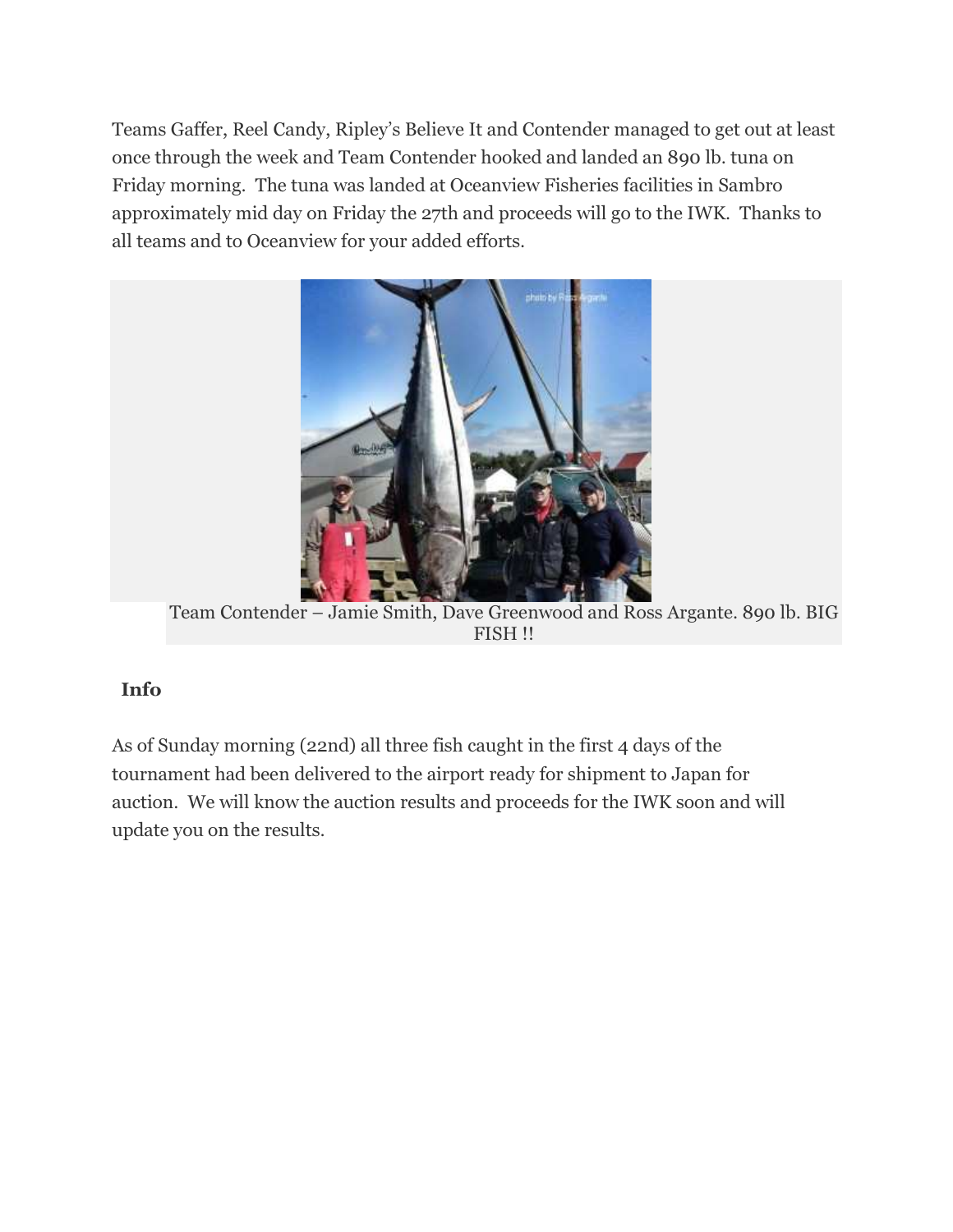Teams Gaffer, Reel Candy, Ripley's Believe It and Contender managed to get out at least once through the week and Team Contender hooked and landed an 890 lb. tuna on Friday morning. The tuna was landed at Oceanview Fisheries facilities in Sambro approximately mid day on Friday the 27th and proceeds will go to the IWK. Thanks to all teams and to Oceanview for your added efforts.



Team Contender – Jamie Smith, Dave Greenwood and Ross Argante. 890 lb. BIG FISH !!

#### Info

As of Sunday morning (22nd) all three fish caught in the first 4 days of the tournament had been delivered to the airport ready for shipment to Japan for auction. We will know the auction results and proceeds for the IWK soon and will update you on the results.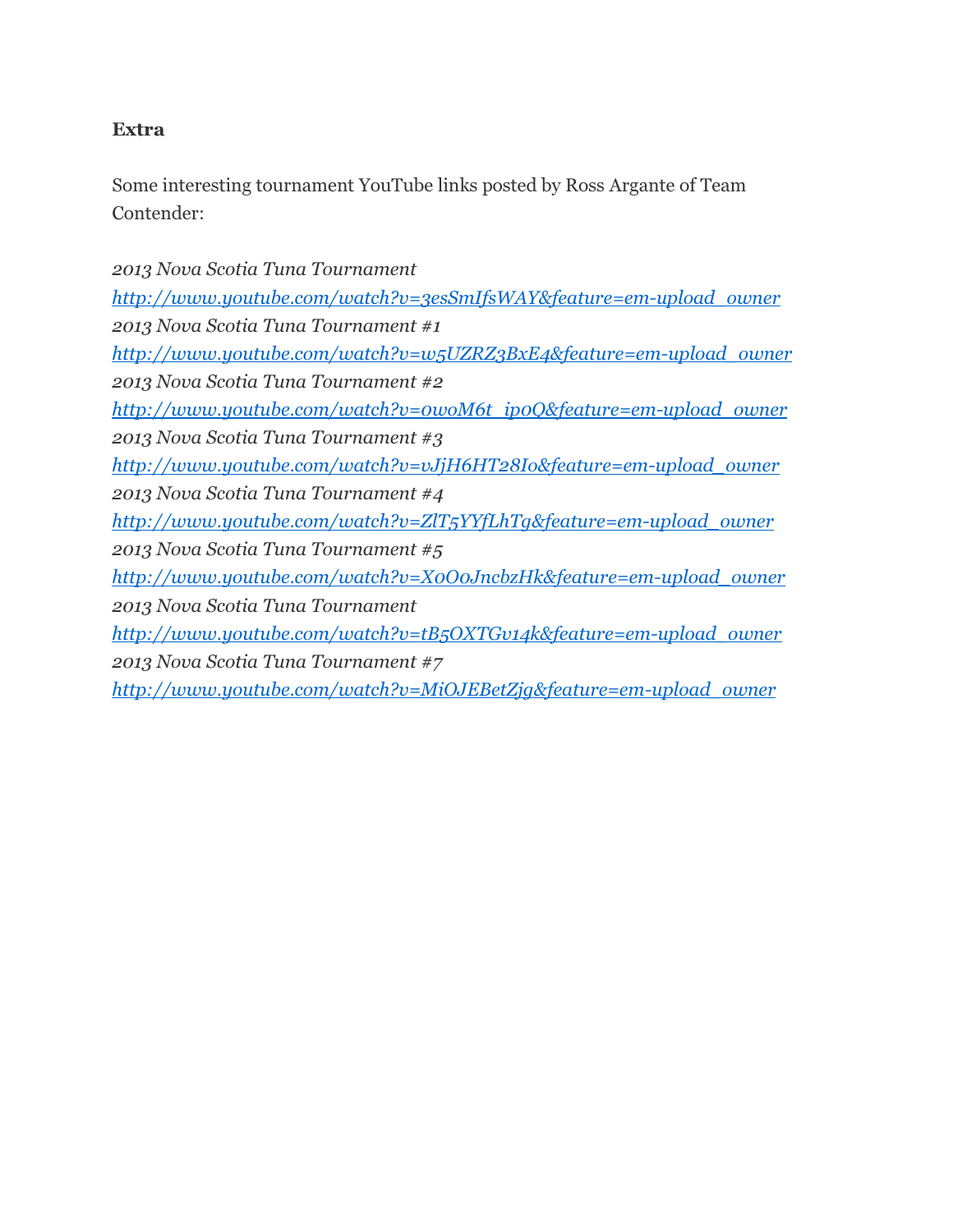#### Extra

Some interesting tournament YouTube links posted by Ross Argante of Team Contender:

*2013 Nova Scotia Tuna Tournament http://www.youtube.com/watch?v=3esSmIfsWAY&feature=em-upload\_owner 2013 Nova Scotia Tuna Tournament #1 http://www.youtube.com/watch?v=w5UZRZ3BxE4&feature=em-upload\_owner 2013 Nova Scotia Tuna Tournament #2 http://www.youtube.com/watch?v=0woM6t\_ip0Q&feature=em-upload\_owner 2013 Nova Scotia Tuna Tournament #3 http://www.youtube.com/watch?v=vJjH6HT28Io&feature=em-upload\_owner 2013 Nova Scotia Tuna Tournament #4 http://www.youtube.com/watch?v=ZlT5YYfLhTg&feature=em-upload\_owner 2013 Nova Scotia Tuna Tournament #5 http://www.youtube.com/watch?v=X0O0JncbzHk&feature=em-upload\_owner 2013 Nova Scotia Tuna Tournament http://www.youtube.com/watch?v=tB5OXTGv14k&feature=em-upload\_owner 2013 Nova Scotia Tuna Tournament #7 http://www.youtube.com/watch?v=MiOJEBetZjg&feature=em-upload\_owner*